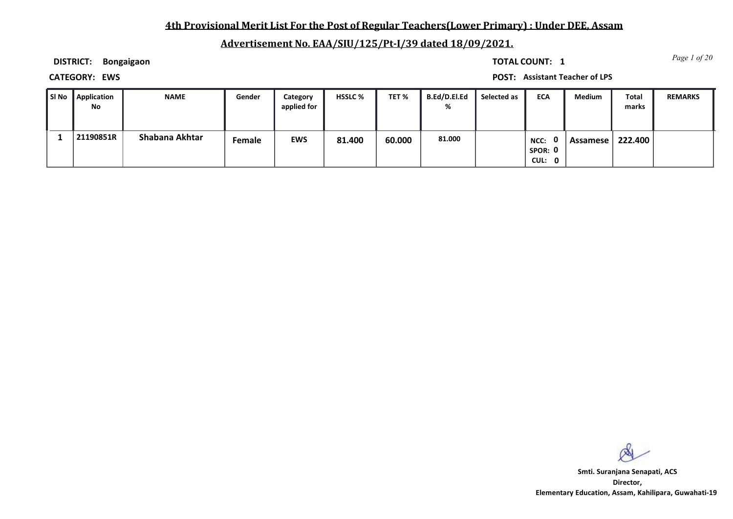## **4th Provisional Merit List For the Post of Regular Teachers(Lower Primary) : Under DEE, Assam**

# **Advertisement No. EAA/SIU/125/Pt-I/39 dated 18/09/2021.**

**DISTRICT: Bongaigaon**

*Page 1 of 20* **TOTAL COUNT: 1**

**CATEGORY: EWS POST: Assistant Teacher of LPS**

| l SI No | Application<br>No | <b>NAME</b>    | Gender | Category<br>applied for | <b>HSSLC %</b> | TET %  | B.Ed/D.El.Ed<br>% | Selected as | <b>ECA</b>                | <b>Medium</b> | Total<br>marks | <b>REMARKS</b> |
|---------|-------------------|----------------|--------|-------------------------|----------------|--------|-------------------|-------------|---------------------------|---------------|----------------|----------------|
|         | 21190851R         | Shabana Akhtar | Female | <b>EWS</b>              | 81.400         | 60.000 | 81.000            |             | NCC:<br>SPOR: 0<br>CUL: 0 | Assamese      | 222.400        |                |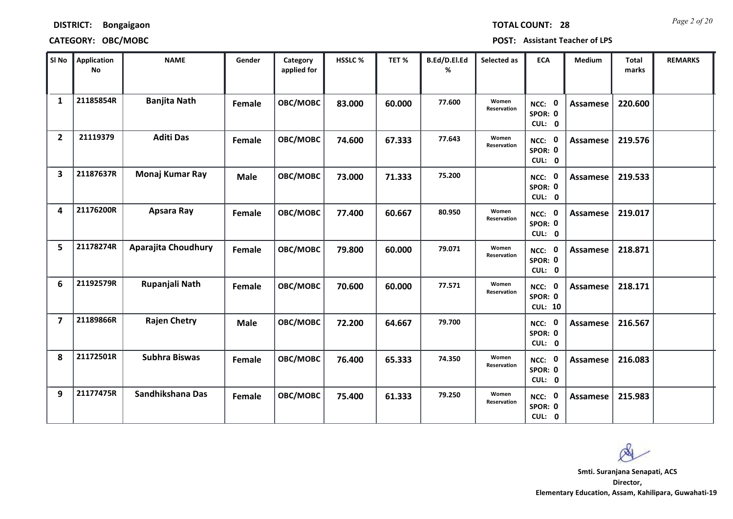**DISTRICT: Bongaigaon**

### **CATEGORY: OBC/MOBC POST: Assistant Teacher of LPS**

| SI No          | <b>Application</b><br><b>No</b> | <b>NAME</b>          | Gender      | Category<br>applied for | <b>HSSLC %</b> | TET %  | B.Ed/D.El.Ed<br>% | Selected as          | <b>ECA</b>                               | <b>Medium</b>   | <b>Total</b><br>marks | <b>REMARKS</b> |
|----------------|---------------------------------|----------------------|-------------|-------------------------|----------------|--------|-------------------|----------------------|------------------------------------------|-----------------|-----------------------|----------------|
| $\mathbf{1}$   | 21185854R                       | <b>Banjita Nath</b>  | Female      | OBC/MOBC                | 83.000         | 60.000 | 77.600            | Women<br>Reservation | $\mathbf 0$<br>NCC:<br>SPOR: 0<br>CUL: 0 | Assamese        | 220.600               |                |
| $\overline{2}$ | 21119379                        | <b>Aditi Das</b>     | Female      | OBC/MOBC                | 74.600         | 67.333 | 77.643            | Women<br>Reservation | NCC: 0<br>SPOR: 0<br>CUL: 0              | Assamese        | 219.576               |                |
| 3              | 21187637R                       | Monaj Kumar Ray      | <b>Male</b> | OBC/MOBC                | 73.000         | 71.333 | 75.200            |                      | NCC: 0<br>SPOR: 0<br>CUL: 0              | Assamese        | 219.533               |                |
| 4              | 21176200R                       | Apsara Ray           | Female      | OBC/MOBC                | 77.400         | 60.667 | 80.950            | Women<br>Reservation | NCC: 0<br>SPOR: 0<br>CUL: 0              | Assamese        | 219.017               |                |
| 5              | 21178274R                       | Aparajita Choudhury  | Female      | OBC/MOBC                | 79.800         | 60.000 | 79.071            | Women<br>Reservation | NCC: 0<br>SPOR: 0<br>CUL: 0              | Assamese        | 218.871               |                |
| 6              | 21192579R                       | Rupanjali Nath       | Female      | OBC/MOBC                | 70.600         | 60.000 | 77.571            | Women<br>Reservation | NCC: 0<br>SPOR: 0<br><b>CUL: 10</b>      | Assamese        | 218.171               |                |
| $\overline{7}$ | 21189866R                       | <b>Rajen Chetry</b>  | <b>Male</b> | OBC/MOBC                | 72.200         | 64.667 | 79.700            |                      | NCC: 0<br>SPOR: 0<br>CUL: 0              | Assamese        | 216.567               |                |
| 8              | 21172501R                       | <b>Subhra Biswas</b> | Female      | OBC/MOBC                | 76.400         | 65.333 | 74.350            | Women<br>Reservation | NCC: 0<br>SPOR: 0<br>CUL: 0              | <b>Assamese</b> | 216.083               |                |
| 9              | 21177475R                       | Sandhikshana Das     | Female      | OBC/MOBC                | 75.400         | 61.333 | 79.250            | Women<br>Reservation | NCC: 0<br>SPOR: 0<br>CUL: 0              | Assamese        | 215.983               |                |

*Page 2 of 20* **TOTAL COUNT: 28**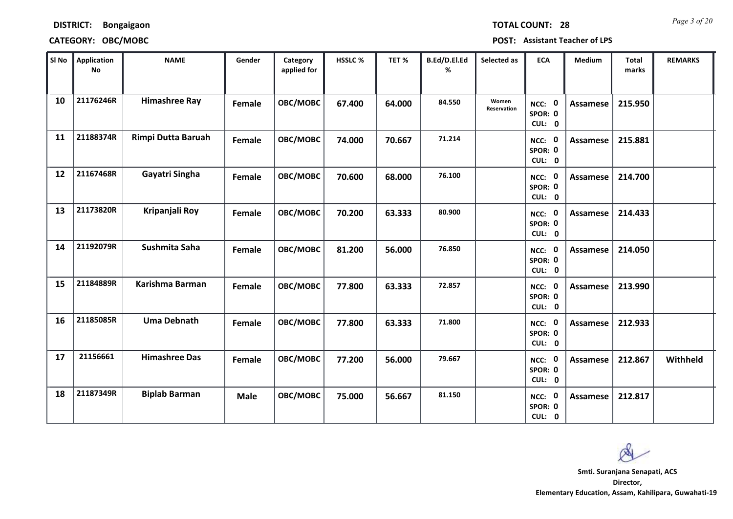*Page 3 of 20* **TOTAL COUNT: 28**

### **DISTRICT: Bongaigaon**

### **CATEGORY: OBC/MOBC POST: Assistant Teacher of LPS**

| SI No | <b>Application</b><br>$\mathop{\mathsf{No}}$ | <b>NAME</b>          | Gender        | Category<br>applied for | HSSLC % | TET %  | B.Ed/D.El.Ed<br>% | Selected as          | <b>ECA</b>                                | <b>Medium</b>   | <b>Total</b><br>marks | <b>REMARKS</b> |
|-------|----------------------------------------------|----------------------|---------------|-------------------------|---------|--------|-------------------|----------------------|-------------------------------------------|-----------------|-----------------------|----------------|
| 10    | 21176246R                                    | <b>Himashree Ray</b> | Female        | OBC/MOBC                | 67.400  | 64.000 | 84.550            | Women<br>Reservation | NCC: 0<br>SPOR: 0<br>CUL: 0               | <b>Assamese</b> | 215.950               |                |
| 11    | 21188374R                                    | Rimpi Dutta Baruah   | <b>Female</b> | OBC/MOBC                | 74.000  | 70.667 | 71.214            |                      | NCC: 0<br>SPOR: 0<br>CUL: 0               | Assamese        | 215.881               |                |
| 12    | 21167468R                                    | Gayatri Singha       | Female        | OBC/MOBC                | 70.600  | 68.000 | 76.100            |                      | NCC: 0<br>SPOR: 0<br>CUL: 0               | Assamese        | 214.700               |                |
| 13    | 21173820R                                    | Kripanjali Roy       | <b>Female</b> | OBC/MOBC                | 70.200  | 63.333 | 80.900            |                      | $\mathbf{0}$<br>NCC:<br>SPOR: 0<br>CUL: 0 | <b>Assamese</b> | 214.433               |                |
| 14    | 21192079R                                    | Sushmita Saha        | Female        | OBC/MOBC                | 81.200  | 56.000 | 76.850            |                      | NCC: 0<br>SPOR: 0<br>CUL: 0               | Assamese        | 214.050               |                |
| 15    | 21184889R                                    | Karishma Barman      | <b>Female</b> | OBC/MOBC                | 77.800  | 63.333 | 72.857            |                      | NCC: 0<br>SPOR: 0<br>CUL: 0               | Assamese        | 213.990               |                |
| 16    | 21185085R                                    | <b>Uma Debnath</b>   | Female        | OBC/MOBC                | 77.800  | 63.333 | 71.800            |                      | NCC: 0<br>SPOR: 0<br>CUL: 0               | Assamese        | 212.933               |                |
| 17    | 21156661                                     | <b>Himashree Das</b> | Female        | OBC/MOBC                | 77.200  | 56.000 | 79.667            |                      | NCC: 0<br>SPOR: 0<br>CUL: 0               | <b>Assamese</b> | 212.867               | Withheld       |
| 18    | 21187349R                                    | <b>Biplab Barman</b> | <b>Male</b>   | OBC/MOBC                | 75.000  | 56.667 | 81.150            |                      | $\mathbf 0$<br>NCC:<br>SPOR: 0<br>CUL: 0  | Assamese        | 212.817               |                |

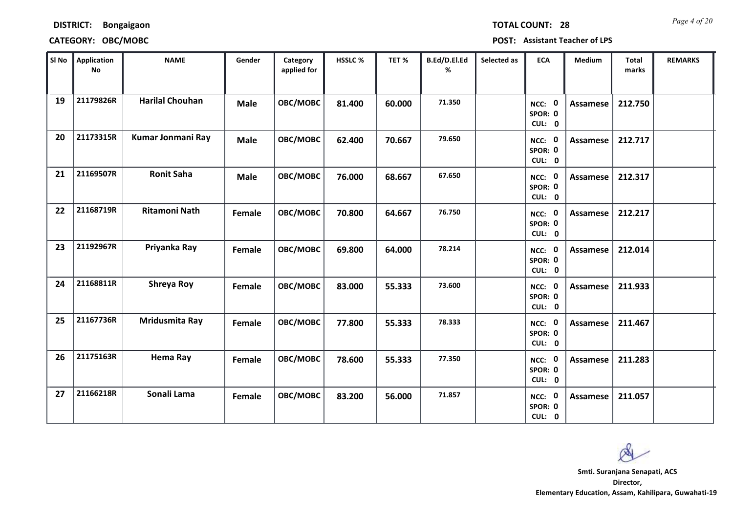*Page 4 of 20* **TOTAL COUNT: 28**

**DISTRICT: Bongaigaon**

**CATEGORY: OBC/MOBC POST: Assistant Teacher of LPS**

| SI <sub>No</sub> | <b>Application</b><br><b>No</b> | <b>NAME</b>            | Gender      | Category<br>applied for | <b>HSSLC%</b> | TET %  | B.Ed/D.El.Ed<br>% | Selected as | <b>ECA</b>                               | <b>Medium</b>   | <b>Total</b><br>marks | <b>REMARKS</b> |
|------------------|---------------------------------|------------------------|-------------|-------------------------|---------------|--------|-------------------|-------------|------------------------------------------|-----------------|-----------------------|----------------|
| 19               | 21179826R                       | <b>Harilal Chouhan</b> | <b>Male</b> | OBC/MOBC                | 81.400        | 60.000 | 71.350            |             | $\mathbf 0$<br>NCC:<br>SPOR: 0<br>CUL: 0 | <b>Assamese</b> | 212.750               |                |
| 20               | 21173315R                       | Kumar Jonmani Ray      | <b>Male</b> | OBC/MOBC                | 62.400        | 70.667 | 79.650            |             | NCC: 0<br>SPOR: 0<br>CUL: 0              | <b>Assamese</b> | 212.717               |                |
| 21               | 21169507R                       | <b>Ronit Saha</b>      | <b>Male</b> | OBC/MOBC                | 76.000        | 68.667 | 67.650            |             | NCC: 0<br>SPOR: 0<br>CUL: 0              | <b>Assamese</b> | 212.317               |                |
| 22               | 21168719R                       | <b>Ritamoni Nath</b>   | Female      | OBC/MOBC                | 70.800        | 64.667 | 76.750            |             | NCC: 0<br>SPOR: 0<br>CUL: 0              | Assamese        | 212.217               |                |
| 23               | 21192967R                       | Priyanka Ray           | Female      | OBC/MOBC                | 69.800        | 64.000 | 78.214            |             | NCC: 0<br>SPOR: 0<br>CUL: 0              | Assamese        | 212.014               |                |
| 24               | 21168811R                       | Shreya Roy             | Female      | OBC/MOBC                | 83.000        | 55.333 | 73.600            |             | NCC: 0<br>SPOR: 0<br>CUL: 0              | <b>Assamese</b> | 211.933               |                |
| 25               | 21167736R                       | Mridusmita Ray         | Female      | OBC/MOBC                | 77.800        | 55.333 | 78.333            |             | NCC: 0<br>SPOR: 0<br>CUL: 0              | Assamese        | 211.467               |                |
| 26               | 21175163R                       | Hema Ray               | Female      | OBC/MOBC                | 78.600        | 55.333 | 77.350            |             | NCC: 0<br>SPOR: 0<br>CUL: 0              | Assamese        | 211.283               |                |
| 27               | 21166218R                       | Sonali Lama            | Female      | OBC/MOBC                | 83.200        | 56.000 | 71.857            |             | NCC: 0<br>SPOR: 0<br>CUL: 0              | Assamese        | 211.057               |                |

**Smti. Suranjana Senapati, ACS**

**Director, Elementary Education, Assam, Kahilipara, Guwahati-19**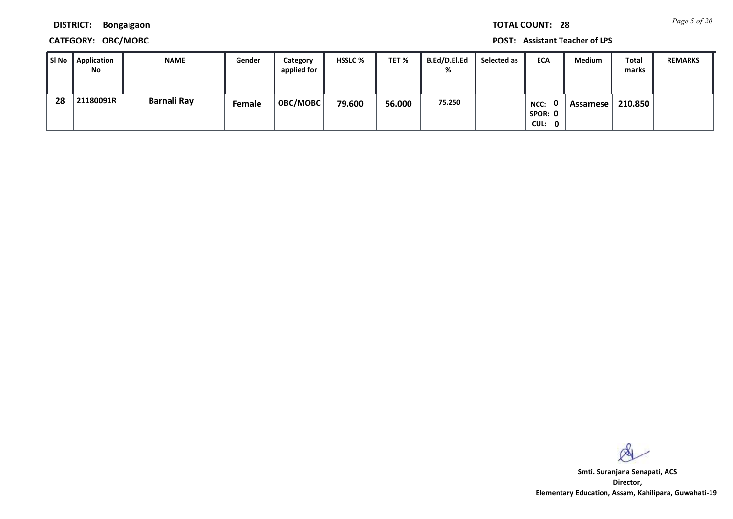*Page 5 of 20* **TOTAL COUNT: 28**

**DISTRICT: Bongaigaon**

### **CATEGORY: OBC/MOBC POST: Assistant Teacher of LPS**

| l SI No | Application<br>No | <b>NAME</b> | Gender | Category<br>applied for | <b>HSSLC %</b> | TET %  | <b>B.Ed/D.El.Ed</b><br>% | Selected as | <b>ECA</b>                | Medium   | Total<br>marks | <b>REMARKS</b> |
|---------|-------------------|-------------|--------|-------------------------|----------------|--------|--------------------------|-------------|---------------------------|----------|----------------|----------------|
| 28      | 21180091R         | Barnali Ray | Female | OBC/MOBC                | 79.600         | 56.000 | 75.250                   |             | NCC:<br>SPOR: 0<br>CUL: 0 | Assamese | 210.850        |                |

 $\infty$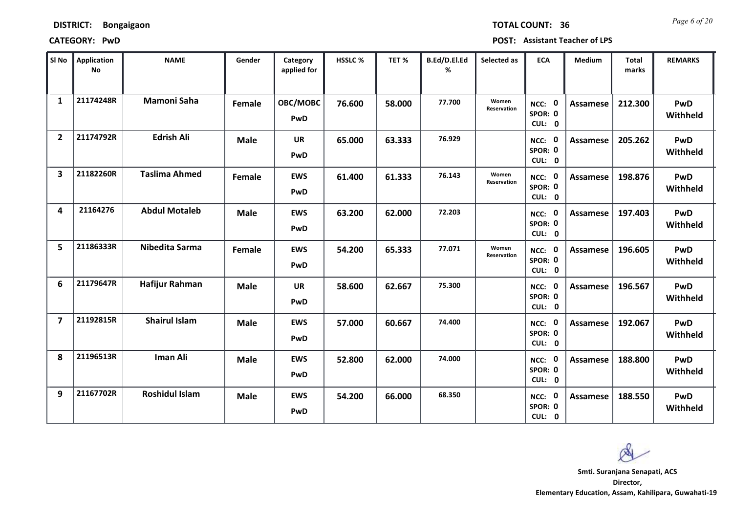*Page 6 of 20* **TOTAL COUNT: 36**

| SI No                   | <b>Application</b><br>No | <b>NAME</b>           | Gender      | Category<br>applied for | <b>HSSLC %</b> | TET %  | B.Ed/D.El.Ed<br>% | Selected as          | <b>ECA</b>                  | <b>Medium</b>   | <b>Total</b><br>marks | <b>REMARKS</b>         |
|-------------------------|--------------------------|-----------------------|-------------|-------------------------|----------------|--------|-------------------|----------------------|-----------------------------|-----------------|-----------------------|------------------------|
| $\mathbf{1}$            | 21174248R                | <b>Mamoni Saha</b>    | Female      | OBC/MOBC<br>PwD         | 76.600         | 58.000 | 77.700            | Women<br>Reservation | NCC: 0<br>SPOR: 0<br>CUL: 0 | <b>Assamese</b> | 212.300               | PwD<br>Withheld        |
| $\overline{2}$          | 21174792R                | <b>Edrish Ali</b>     | <b>Male</b> | <b>UR</b><br>PwD        | 65.000         | 63.333 | 76.929            |                      | NCC: 0<br>SPOR: 0<br>CUL: 0 | Assamese        | 205.262               | PwD<br>Withheld        |
| $\overline{\mathbf{3}}$ | 21182260R                | <b>Taslima Ahmed</b>  | Female      | <b>EWS</b><br>PwD       | 61.400         | 61.333 | 76.143            | Women<br>Reservation | NCC: 0<br>SPOR: 0<br>CUL: 0 | Assamese        | 198.876               | PwD<br>Withheld        |
| 4                       | 21164276                 | <b>Abdul Motaleb</b>  | <b>Male</b> | <b>EWS</b><br>PwD       | 63.200         | 62.000 | 72.203            |                      | NCC: 0<br>SPOR: 0<br>CUL: 0 | Assamese        | 197.403               | PwD<br>Withheld        |
| 5                       | 21186333R                | Nibedita Sarma        | Female      | <b>EWS</b><br>PwD       | 54.200         | 65.333 | 77.071            | Women<br>Reservation | NCC: 0<br>SPOR: 0<br>CUL: 0 | <b>Assamese</b> | 196.605               | PwD<br>Withheld        |
| 6                       | 21179647R                | <b>Hafijur Rahman</b> | <b>Male</b> | <b>UR</b><br>PwD        | 58.600         | 62.667 | 75.300            |                      | NCC: 0<br>SPOR: 0<br>CUL: 0 | <b>Assamese</b> | 196.567               | PwD<br>Withheld        |
| $\overline{\mathbf{z}}$ | 21192815R                | <b>Shairul Islam</b>  | <b>Male</b> | <b>EWS</b><br>PwD       | 57.000         | 60.667 | 74.400            |                      | NCC: 0<br>SPOR: 0<br>CUL: 0 | Assamese        | 192.067               | PwD<br>Withheld        |
| 8                       | 21196513R                | Iman Ali              | <b>Male</b> | <b>EWS</b><br>PwD       | 52.800         | 62.000 | 74.000            |                      | NCC: 0<br>SPOR: 0<br>CUL: 0 | <b>Assamese</b> | 188.800               | PwD<br>Withheld        |
| 9                       | 21167702R                | <b>Roshidul Islam</b> | <b>Male</b> | <b>EWS</b><br>PwD       | 54.200         | 66.000 | 68.350            |                      | NCC: 0<br>SPOR: 0<br>CUL: 0 | Assamese        | 188.550               | <b>PwD</b><br>Withheld |

 $\infty$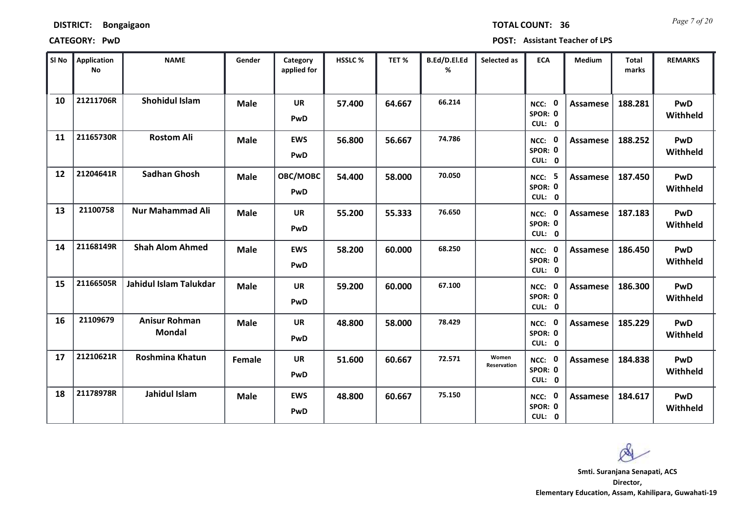*Page 7 of 20* **TOTAL COUNT: 36**

**CATEGORY: PwD POST: Assistant Teacher of LPS**

| SI No | <b>Application</b><br>No | <b>NAME</b>                           | Gender      | Category<br>applied for  | <b>HSSLC %</b> | TET %  | B.Ed/D.El.Ed<br>% | Selected as          | <b>ECA</b>                               | <b>Medium</b>   | <b>Total</b><br>marks | <b>REMARKS</b>         |
|-------|--------------------------|---------------------------------------|-------------|--------------------------|----------------|--------|-------------------|----------------------|------------------------------------------|-----------------|-----------------------|------------------------|
| 10    | 21211706R                | <b>Shohidul Islam</b>                 | <b>Male</b> | <b>UR</b><br>PwD         | 57.400         | 64.667 | 66.214            |                      | 0<br>NCC:<br>SPOR: 0<br>CUL: 0           | Assamese        | 188.281               | PwD<br>Withheld        |
| 11    | 21165730R                | <b>Rostom Ali</b>                     | <b>Male</b> | <b>EWS</b><br>PwD        | 56.800         | 56.667 | 74.786            |                      | NCC: 0<br>SPOR: 0<br>CUL: 0              | Assamese        | 188.252               | PwD<br>Withheld        |
| 12    | 21204641R                | <b>Sadhan Ghosh</b>                   | <b>Male</b> | OBC/MOBC<br>PwD          | 54.400         | 58.000 | 70.050            |                      | NCC: 5<br>SPOR: 0<br>CUL: 0              | Assamese        | 187.450               | PwD<br>Withheld        |
| 13    | 21100758                 | <b>Nur Mahammad Ali</b>               | <b>Male</b> | <b>UR</b><br>PwD         | 55.200         | 55.333 | 76.650            |                      | $\mathbf 0$<br>NCC:<br>SPOR: 0<br>CUL: 0 | Assamese        | 187.183               | PwD<br>Withheld        |
| 14    | 21168149R                | <b>Shah Alom Ahmed</b>                | <b>Male</b> | <b>EWS</b><br>PwD        | 58.200         | 60.000 | 68.250            |                      | NCC: 0<br>SPOR: 0<br>CUL: 0              | Assamese        | 186.450               | PwD<br>Withheld        |
| 15    | 21166505R                | Jahidul Islam Talukdar                | <b>Male</b> | <b>UR</b><br>PwD         | 59.200         | 60.000 | 67.100            |                      | - 0<br>NCC:<br>SPOR: 0<br>CUL: 0         | <b>Assamese</b> | 186.300               | PwD<br>Withheld        |
| 16    | 21109679                 | <b>Anisur Rohman</b><br><b>Mondal</b> | <b>Male</b> | <b>UR</b><br>PwD         | 48.800         | 58.000 | 78.429            |                      | NCC: 0<br>SPOR: 0<br>CUL: 0              | Assamese        | 185.229               | PwD<br>Withheld        |
| 17    | 21210621R                | <b>Roshmina Khatun</b>                | Female      | <b>UR</b><br>PwD         | 51.600         | 60.667 | 72.571            | Women<br>Reservation | NCC: 0<br>SPOR: 0<br>CUL: 0              | Assamese        | 184.838               | PwD<br>Withheld        |
| 18    | 21178978R                | Jahidul Islam                         | <b>Male</b> | <b>EWS</b><br><b>PwD</b> | 48.800         | 60.667 | 75.150            |                      | 0<br>NCC:<br>SPOR: 0<br>CUL: 0           | Assamese        | 184.617               | <b>PwD</b><br>Withheld |

**Director, Elementary Education, Assam, Kahilipara, Guwahati-19 Smti. Suranjana Senapati, ACS**

 $\infty$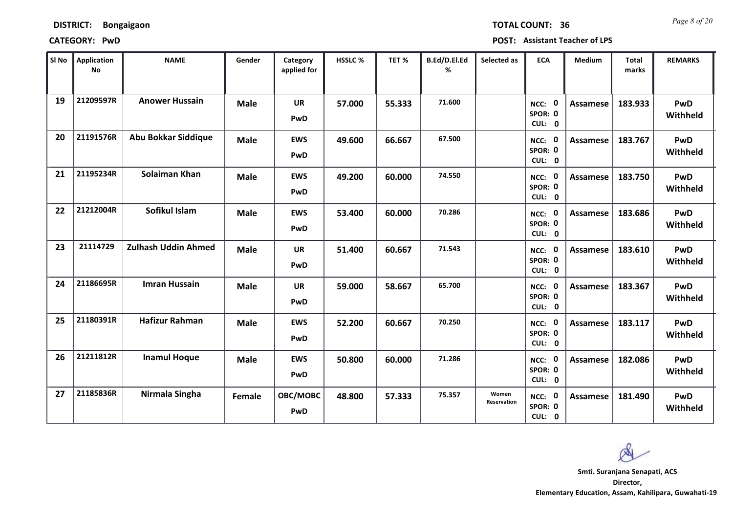*Page 8 of 20* **TOTAL COUNT: 36**

| SI No | <b>Application</b><br>No | <b>NAME</b>                | Gender      | Category<br>applied for | HSSLC % | TET %  | B.Ed/D.El.Ed<br>% | Selected as          | <b>ECA</b>                     | <b>Medium</b>   | <b>Total</b><br>marks | <b>REMARKS</b>         |
|-------|--------------------------|----------------------------|-------------|-------------------------|---------|--------|-------------------|----------------------|--------------------------------|-----------------|-----------------------|------------------------|
| 19    | 21209597R                | <b>Anower Hussain</b>      | <b>Male</b> | <b>UR</b><br>PwD        | 57.000  | 55.333 | 71.600            |                      | NCC: 0<br>SPOR: 0<br>CUL: 0    | <b>Assamese</b> | 183.933               | PwD<br>Withheld        |
| 20    | 21191576R                | Abu Bokkar Siddique        | <b>Male</b> | <b>EWS</b><br>PwD       | 49.600  | 66.667 | 67.500            |                      | NCC: 0<br>SPOR: 0<br>CUL: 0    | Assamese        | 183.767               | PwD<br>Withheld        |
| 21    | 21195234R                | Solaiman Khan              | <b>Male</b> | <b>EWS</b><br>PwD       | 49.200  | 60.000 | 74.550            |                      | NCC: 0<br>SPOR: 0<br>CUL: 0    | Assamese        | 183.750               | PwD<br>Withheld        |
| 22    | 21212004R                | Sofikul Islam              | <b>Male</b> | <b>EWS</b><br>PwD       | 53.400  | 60.000 | 70.286            |                      | 0<br>NCC:<br>SPOR: 0<br>CUL: 0 | Assamese        | 183.686               | PwD<br>Withheld        |
| 23    | 21114729                 | <b>Zulhash Uddin Ahmed</b> | <b>Male</b> | <b>UR</b><br>PwD        | 51.400  | 60.667 | 71.543            |                      | NCC: 0<br>SPOR: 0<br>CUL: 0    | Assamese        | 183.610               | PwD<br>Withheld        |
| 24    | 21186695R                | <b>Imran Hussain</b>       | <b>Male</b> | <b>UR</b><br>PwD        | 59.000  | 58.667 | 65.700            |                      | NCC: 0<br>SPOR: 0<br>CUL: 0    | <b>Assamese</b> | 183.367               | <b>PwD</b><br>Withheld |
| 25    | 21180391R                | <b>Hafizur Rahman</b>      | <b>Male</b> | <b>EWS</b><br>PwD       | 52.200  | 60.667 | 70.250            |                      | NCC: 0<br>SPOR: 0<br>CUL: 0    | Assamese        | 183.117               | PwD<br>Withheld        |
| 26    | 21211812R                | <b>Inamul Hoque</b>        | <b>Male</b> | <b>EWS</b><br>PwD       | 50.800  | 60.000 | 71.286            |                      | NCC: 0<br>SPOR: 0<br>CUL: 0    | <b>Assamese</b> | 182.086               | <b>PwD</b><br>Withheld |
| 27    | 21185836R                | Nirmala Singha             | Female      | OBC/MOBC<br>PwD         | 48.800  | 57.333 | 75.357            | Women<br>Reservation | NCC: 0<br>SPOR: 0<br>CUL: 0    | Assamese        | 181.490               | <b>PwD</b><br>Withheld |

 $\infty$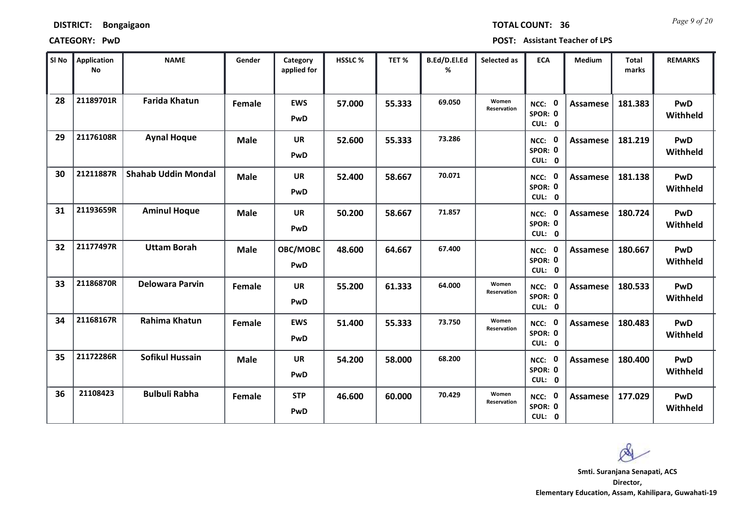*Page 9 of 20* **TOTAL COUNT: 36**

**CATEGORY: PwD POST: Assistant Teacher of LPS**

| SI No | Application<br>No | <b>NAME</b>                | Gender      | Category<br>applied for | <b>HSSLC%</b> | TET %  | B.Ed/D.El.Ed<br>% | Selected as          | <b>ECA</b>                     | <b>Medium</b>   | <b>Total</b><br>marks | <b>REMARKS</b>         |
|-------|-------------------|----------------------------|-------------|-------------------------|---------------|--------|-------------------|----------------------|--------------------------------|-----------------|-----------------------|------------------------|
| 28    | 21189701R         | <b>Farida Khatun</b>       | Female      | <b>EWS</b><br>PwD       | 57.000        | 55.333 | 69.050            | Women<br>Reservation | NCC: 0<br>SPOR: 0<br>CUL: 0    | <b>Assamese</b> | 181.383               | <b>PwD</b><br>Withheld |
| 29    | 21176108R         | <b>Aynal Hoque</b>         | <b>Male</b> | <b>UR</b><br>PwD        | 52.600        | 55.333 | 73.286            |                      | NCC: 0<br>SPOR: 0<br>CUL: 0    | Assamese        | 181.219               | PwD<br>Withheld        |
| 30    | 21211887R         | <b>Shahab Uddin Mondal</b> | <b>Male</b> | <b>UR</b><br>PwD        | 52.400        | 58.667 | 70.071            |                      | NCC: 0<br>SPOR: 0<br>CUL: 0    | <b>Assamese</b> | 181.138               | <b>PwD</b><br>Withheld |
| 31    | 21193659R         | <b>Aminul Hoque</b>        | <b>Male</b> | <b>UR</b><br>PwD        | 50.200        | 58.667 | 71.857            |                      | 0<br>NCC:<br>SPOR: 0<br>CUL: 0 | <b>Assamese</b> | 180.724               | <b>PwD</b><br>Withheld |
| 32    | 21177497R         | <b>Uttam Borah</b>         | <b>Male</b> | OBC/MOBC<br>PwD         | 48.600        | 64.667 | 67.400            |                      | NCC: 0<br>SPOR: 0<br>CUL: 0    | <b>Assamese</b> | 180.667               | PwD<br>Withheld        |
| 33    | 21186870R         | <b>Delowara Parvin</b>     | Female      | <b>UR</b><br>PwD        | 55.200        | 61.333 | 64.000            | Women<br>Reservation | NCC: 0<br>SPOR: 0<br>CUL: 0    | <b>Assamese</b> | 180.533               | PwD<br>Withheld        |
| 34    | 21168167R         | <b>Rahima Khatun</b>       | Female      | <b>EWS</b><br>PwD       | 51.400        | 55.333 | 73.750            | Women<br>Reservation | NCC: 0<br>SPOR: 0<br>CUL: 0    | <b>Assamese</b> | 180.483               | PwD<br>Withheld        |
| 35    | 21172286R         | <b>Sofikul Hussain</b>     | <b>Male</b> | <b>UR</b><br>PwD        | 54.200        | 58.000 | 68.200            |                      | NCC: 0<br>SPOR: 0<br>CUL: 0    | <b>Assamese</b> | 180.400               | PwD<br>Withheld        |
| 36    | 21108423          | <b>Bulbuli Rabha</b>       | Female      | <b>STP</b><br>PwD       | 46.600        | 60.000 | 70.429            | Women<br>Reservation | NCC: 0<br>SPOR: 0<br>CUL: 0    | Assamese        | 177.029               | PwD<br>Withheld        |

 $\infty$ **Smti. Suranjana Senapati, ACSDirector,**

**Elementary Education, Assam, Kahilipara, Guwahati-19**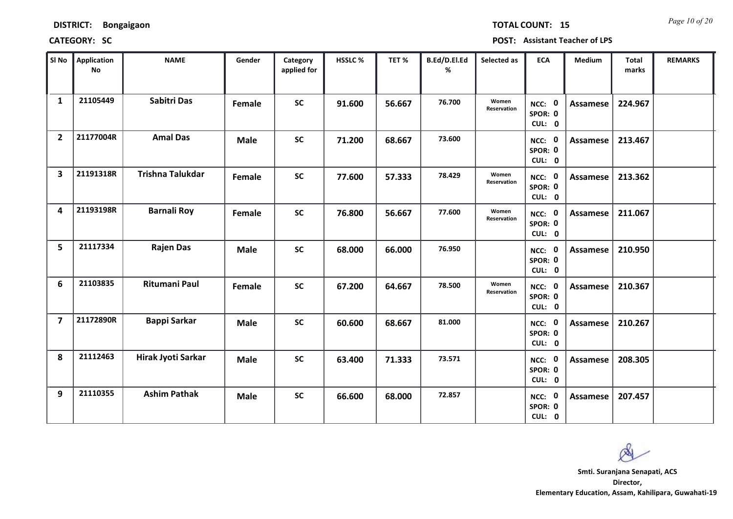*Page 10 of 20* **TOTAL COUNT: 15**

| SI No                   | <b>Application</b><br>No | <b>NAME</b>             | Gender      | Category<br>applied for | <b>HSSLC%</b> | TET%   | B.Ed/D.El.Ed<br>% | Selected as          | <b>ECA</b>                  | <b>Medium</b>   | <b>Total</b><br>marks | <b>REMARKS</b> |
|-------------------------|--------------------------|-------------------------|-------------|-------------------------|---------------|--------|-------------------|----------------------|-----------------------------|-----------------|-----------------------|----------------|
| $\mathbf{1}$            | 21105449                 | Sabitri Das             | Female      | <b>SC</b>               | 91.600        | 56.667 | 76.700            | Women<br>Reservation | NCC: 0<br>SPOR: 0<br>CUL: 0 | Assamese        | 224.967               |                |
| $\overline{2}$          | 21177004R                | <b>Amal Das</b>         | <b>Male</b> | <b>SC</b>               | 71.200        | 68.667 | 73.600            |                      | NCC: 0<br>SPOR: 0<br>CUL: 0 | <b>Assamese</b> | 213.467               |                |
| $\overline{\mathbf{3}}$ | 21191318R                | <b>Trishna Talukdar</b> | Female      | <b>SC</b>               | 77.600        | 57.333 | 78.429            | Women<br>Reservation | NCC: 0<br>SPOR: 0<br>CUL: 0 | <b>Assamese</b> | 213.362               |                |
| 4                       | 21193198R                | <b>Barnali Roy</b>      | Female      | <b>SC</b>               | 76.800        | 56.667 | 77.600            | Women<br>Reservation | NCC: 0<br>SPOR: 0<br>CUL: 0 | <b>Assamese</b> | 211.067               |                |
| 5                       | 21117334                 | <b>Rajen Das</b>        | <b>Male</b> | <b>SC</b>               | 68.000        | 66.000 | 76.950            |                      | NCC: 0<br>SPOR: 0<br>CUL: 0 | <b>Assamese</b> | 210.950               |                |
| 6                       | 21103835                 | Ritumani Paul           | Female      | <b>SC</b>               | 67.200        | 64.667 | 78.500            | Women<br>Reservation | NCC: 0<br>SPOR: 0<br>CUL: 0 | Assamese        | 210.367               |                |
| $\overline{7}$          | 21172890R                | <b>Bappi Sarkar</b>     | <b>Male</b> | <b>SC</b>               | 60.600        | 68.667 | 81.000            |                      | NCC: 0<br>SPOR: 0<br>CUL: 0 | Assamese        | 210.267               |                |
| 8                       | 21112463                 | Hirak Jyoti Sarkar      | <b>Male</b> | <b>SC</b>               | 63.400        | 71.333 | 73.571            |                      | NCC: 0<br>SPOR: 0<br>CUL: 0 | Assamese        | 208.305               |                |
| 9                       | 21110355                 | <b>Ashim Pathak</b>     | <b>Male</b> | <b>SC</b>               | 66.600        | 68.000 | 72.857            |                      | NCC: 0<br>SPOR: 0<br>CUL: 0 | Assamese        | 207.457               |                |

 $\infty$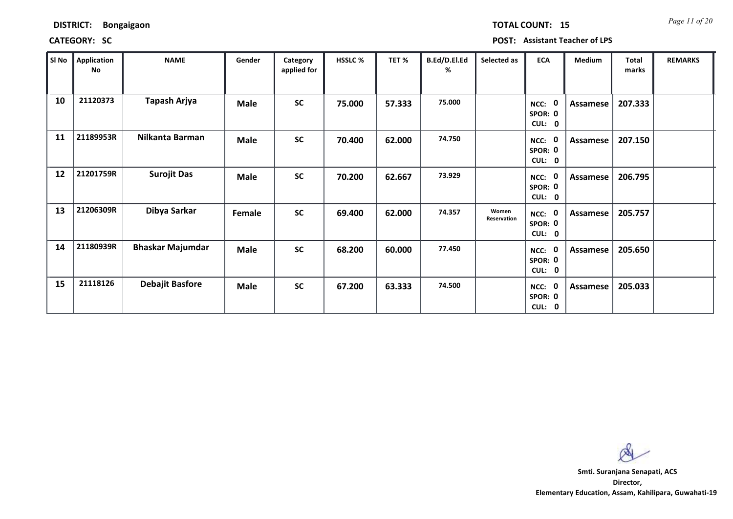*Page 11 of 20* **TOTAL COUNT: 15**

| SI No | <b>Application</b><br>No | <b>NAME</b>             | Gender      | Category<br>applied for | <b>HSSLC %</b> | TET %  | B.Ed/D.El.Ed<br>% | Selected as          | <b>ECA</b>                       | <b>Medium</b> | <b>Total</b><br>marks | <b>REMARKS</b> |
|-------|--------------------------|-------------------------|-------------|-------------------------|----------------|--------|-------------------|----------------------|----------------------------------|---------------|-----------------------|----------------|
| 10    | 21120373                 | Tapash Arjya            | <b>Male</b> | <b>SC</b>               | 75.000         | 57.333 | 75.000            |                      | 0<br>NCC:<br>SPOR: 0<br>CUL: 0   | Assamese      | 207.333               |                |
| 11    | 21189953R                | Nilkanta Barman         | <b>Male</b> | <b>SC</b>               | 70.400         | 62.000 | 74.750            |                      | NCC:<br>0<br>SPOR: 0<br>CUL: 0   | Assamese      | 207.150               |                |
| 12    | 21201759R                | <b>Surojit Das</b>      | <b>Male</b> | <b>SC</b>               | 70.200         | 62.667 | 73.929            |                      | - 0<br>NCC:<br>SPOR: 0<br>CUL: 0 | Assamese      | 206.795               |                |
| 13    | 21206309R                | Dibya Sarkar            | Female      | <b>SC</b>               | 69.400         | 62.000 | 74.357            | Women<br>Reservation | 0<br>NCC:<br>SPOR: 0<br>CUL: 0   | Assamese      | 205.757               |                |
| 14    | 21180939R                | <b>Bhaskar Majumdar</b> | <b>Male</b> | <b>SC</b>               | 68.200         | 60.000 | 77.450            |                      | NCC: 0<br>SPOR: 0<br>CUL: 0      | Assamese      | 205.650               |                |
| 15    | 21118126                 | <b>Debajit Basfore</b>  | <b>Male</b> | <b>SC</b>               | 67.200         | 63.333 | 74.500            |                      | 0<br>NCC:<br>SPOR: 0<br>CUL: 0   | Assamese      | 205.033               |                |

 $\infty$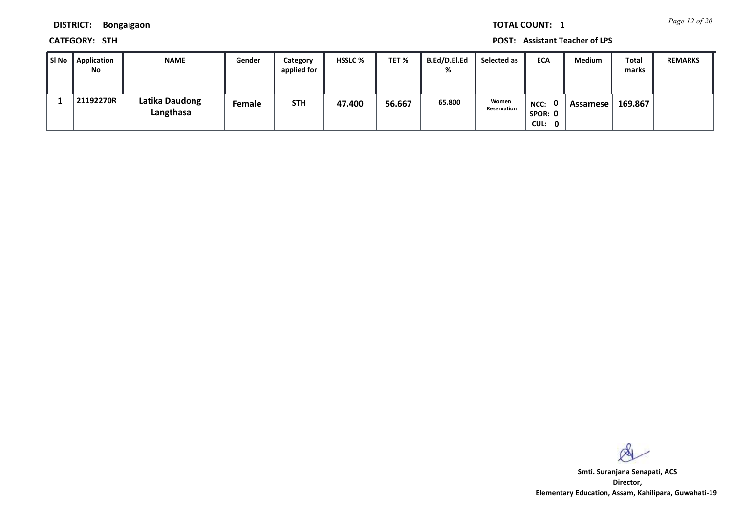*Page 12 of 20* **TOTAL COUNT: 1**

**DISTRICT: Bongaigaon**

**CATEGORY: STH POST: Assistant Teacher of LPS**

| ∥ SI No | Application<br>No | <b>NAME</b>                 | Gender | Category<br>applied for | <b>HSSLC %</b> | TET %  | B.Ed/D.El.Ed<br>% | Selected as          | <b>ECA</b>                  | Medium   | Total<br>marks | <b>REMARKS</b> |
|---------|-------------------|-----------------------------|--------|-------------------------|----------------|--------|-------------------|----------------------|-----------------------------|----------|----------------|----------------|
|         | 21192270R         | Latika Daudong<br>Langthasa | Female | <b>STH</b>              | 47.400         | 56.667 | 65.800            | Women<br>Reservation | NCC: 0<br>SPOR: 0<br>CUL: 0 | Assamese | 169.867        |                |

 $\infty$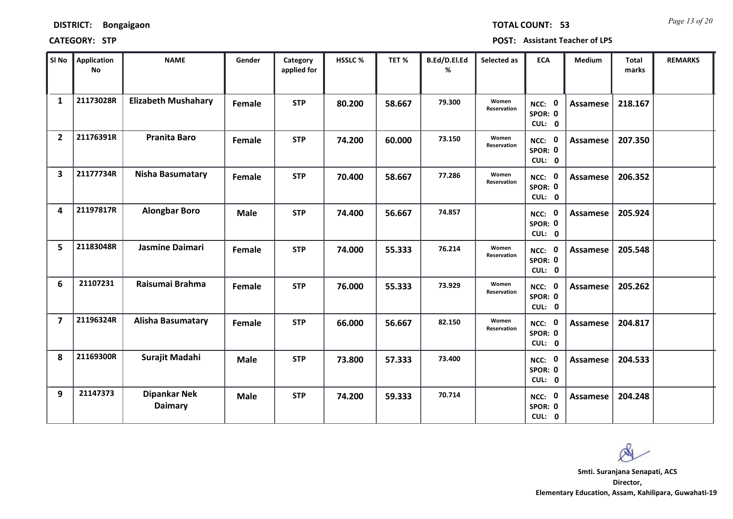| <b>DISTRICT:</b> | <b>Bongaigaon</b> |
|------------------|-------------------|
|------------------|-------------------|

*Page 13 of 20* **TOTAL COUNT: 53**

| SI No                   | <b>Application</b><br>No | <b>NAME</b>                           | Gender      | Category<br>applied for | HSSLC % | TET %  | B.Ed/D.El.Ed<br>% | Selected as                 | <b>ECA</b>                  | <b>Medium</b>   | <b>Total</b><br>marks | <b>REMARKS</b> |
|-------------------------|--------------------------|---------------------------------------|-------------|-------------------------|---------|--------|-------------------|-----------------------------|-----------------------------|-----------------|-----------------------|----------------|
| $\mathbf{1}$            | 21173028R                | <b>Elizabeth Mushahary</b>            | Female      | <b>STP</b>              | 80.200  | 58.667 | 79.300            | Women<br>Reservation        | NCC: 0<br>SPOR: 0<br>CUL: 0 | <b>Assamese</b> | 218.167               |                |
| $\overline{2}$          | 21176391R                | <b>Pranita Baro</b>                   | Female      | <b>STP</b>              | 74.200  | 60.000 | 73.150            | Women<br>Reservation        | NCC: 0<br>SPOR: 0<br>CUL: 0 | Assamese        | 207.350               |                |
| 3                       | 21177734R                | <b>Nisha Basumatary</b>               | Female      | <b>STP</b>              | 70.400  | 58.667 | 77.286            | Women<br>Reservation        | NCC: 0<br>SPOR: 0<br>CUL: 0 | <b>Assamese</b> | 206.352               |                |
| 4                       | 21197817R                | <b>Alongbar Boro</b>                  | <b>Male</b> | <b>STP</b>              | 74.400  | 56.667 | 74.857            |                             | NCC: 0<br>SPOR: 0<br>CUL: 0 | <b>Assamese</b> | 205.924               |                |
| 5                       | 21183048R                | Jasmine Daimari                       | Female      | <b>STP</b>              | 74.000  | 55.333 | 76.214            | Women<br><b>Reservation</b> | NCC: 0<br>SPOR: 0<br>CUL: 0 | Assamese        | 205.548               |                |
| 6                       | 21107231                 | Raisumai Brahma                       | Female      | <b>STP</b>              | 76.000  | 55.333 | 73.929            | Women<br>Reservation        | NCC: 0<br>SPOR: 0<br>CUL: 0 | <b>Assamese</b> | 205.262               |                |
| $\overline{\mathbf{z}}$ | 21196324R                | <b>Alisha Basumatary</b>              | Female      | <b>STP</b>              | 66.000  | 56.667 | 82.150            | Women<br>Reservation        | NCC: 0<br>SPOR: 0<br>CUL: 0 | <b>Assamese</b> | 204.817               |                |
| 8                       | 21169300R                | Surajit Madahi                        | <b>Male</b> | <b>STP</b>              | 73.800  | 57.333 | 73.400            |                             | NCC: 0<br>SPOR: 0<br>CUL: 0 | <b>Assamese</b> | 204.533               |                |
| 9                       | 21147373                 | <b>Dipankar Nek</b><br><b>Daimary</b> | <b>Male</b> | <b>STP</b>              | 74.200  | 59.333 | 70.714            |                             | NCC: 0<br>SPOR: 0<br>CUL: 0 | Assamese        | 204.248               |                |

 $\infty$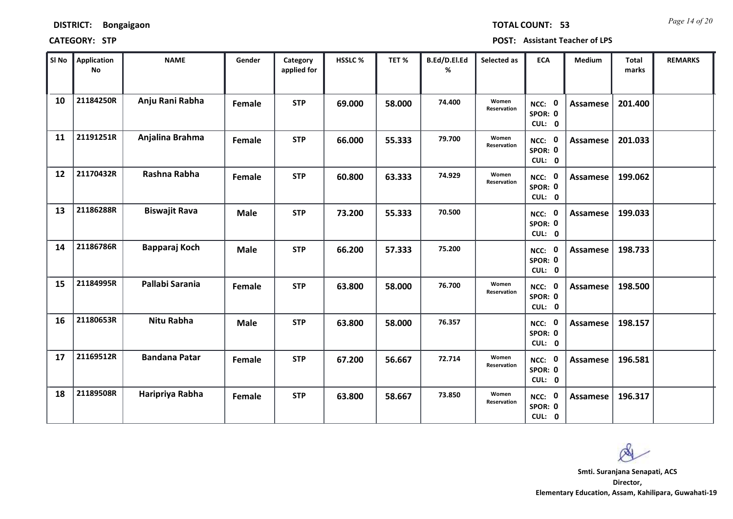| DISTRICT: | <b>Bongaigaon</b> |
|-----------|-------------------|
|-----------|-------------------|

*Page 14 of 20* **TOTAL COUNT: 53**

| SI No | <b>Application</b><br><b>No</b> | <b>NAME</b>          | Gender      | Category<br>applied for | <b>HSSLC %</b> | TET %  | B.Ed/D.El.Ed<br>% | Selected as          | <b>ECA</b>                  | Medium          | <b>Total</b><br>marks | <b>REMARKS</b> |
|-------|---------------------------------|----------------------|-------------|-------------------------|----------------|--------|-------------------|----------------------|-----------------------------|-----------------|-----------------------|----------------|
| 10    | 21184250R                       | Anju Rani Rabha      | Female      | <b>STP</b>              | 69.000         | 58.000 | 74.400            | Women<br>Reservation | NCC: 0<br>SPOR: 0<br>CUL: 0 | <b>Assamese</b> | 201.400               |                |
| 11    | 21191251R                       | Anjalina Brahma      | Female      | <b>STP</b>              | 66.000         | 55.333 | 79.700            | Women<br>Reservation | NCC: 0<br>SPOR: 0<br>CUL: 0 | Assamese        | 201.033               |                |
| 12    | 21170432R                       | Rashna Rabha         | Female      | <b>STP</b>              | 60.800         | 63.333 | 74.929            | Women<br>Reservation | NCC: 0<br>SPOR: 0<br>CUL: 0 | <b>Assamese</b> | 199.062               |                |
| 13    | 21186288R                       | <b>Biswajit Rava</b> | <b>Male</b> | <b>STP</b>              | 73.200         | 55.333 | 70.500            |                      | NCC: 0<br>SPOR: 0<br>CUL: 0 | Assamese        | 199.033               |                |
| 14    | 21186786R                       | Bapparaj Koch        | <b>Male</b> | <b>STP</b>              | 66.200         | 57.333 | 75.200            |                      | NCC: 0<br>SPOR: 0<br>CUL: 0 | <b>Assamese</b> | 198.733               |                |
| 15    | 21184995R                       | Pallabi Sarania      | Female      | <b>STP</b>              | 63.800         | 58.000 | 76.700            | Women<br>Reservation | NCC: 0<br>SPOR: 0<br>CUL: 0 | <b>Assamese</b> | 198.500               |                |
| 16    | 21180653R                       | <b>Nitu Rabha</b>    | <b>Male</b> | <b>STP</b>              | 63.800         | 58.000 | 76.357            |                      | NCC: 0<br>SPOR: 0<br>CUL: 0 | <b>Assamese</b> | 198.157               |                |
| 17    | 21169512R                       | <b>Bandana Patar</b> | Female      | <b>STP</b>              | 67.200         | 56.667 | 72.714            | Women<br>Reservation | NCC: 0<br>SPOR: 0<br>CUL: 0 | <b>Assamese</b> | 196.581               |                |
| 18    | 21189508R                       | Haripriya Rabha      | Female      | <b>STP</b>              | 63.800         | 58.667 | 73.850            | Women<br>Reservation | NCC: 0<br>SPOR: 0<br>CUL: 0 | Assamese        | 196.317               |                |

 $\infty$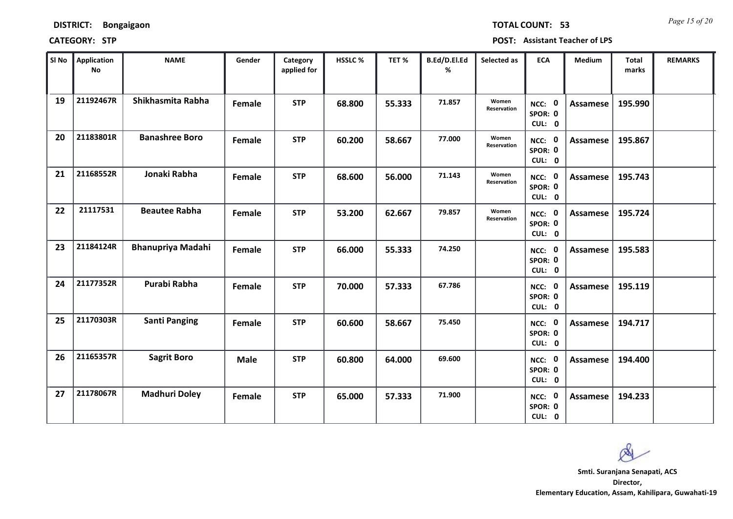*Page 15 of 20* **TOTAL COUNT: 53**

| SI No | <b>Application</b><br><b>No</b> | <b>NAME</b>              | Gender        | Category<br>applied for | HSSLC % | TET %  | B.Ed/D.El.Ed<br>% | Selected as                 | <b>ECA</b>                  | <b>Medium</b>   | Total<br>marks | <b>REMARKS</b> |
|-------|---------------------------------|--------------------------|---------------|-------------------------|---------|--------|-------------------|-----------------------------|-----------------------------|-----------------|----------------|----------------|
| 19    | 21192467R                       | Shikhasmita Rabha        | Female        | <b>STP</b>              | 68.800  | 55.333 | 71.857            | Women<br>Reservation        | NCC: 0<br>SPOR: 0<br>CUL: 0 | <b>Assamese</b> | 195.990        |                |
| 20    | 21183801R                       | <b>Banashree Boro</b>    | Female        | <b>STP</b>              | 60.200  | 58.667 | 77.000            | Women<br><b>Reservation</b> | NCC: 0<br>SPOR: 0<br>CUL: 0 | <b>Assamese</b> | 195.867        |                |
| 21    | 21168552R                       | Jonaki Rabha             | Female        | <b>STP</b>              | 68.600  | 56.000 | 71.143            | Women<br>Reservation        | NCC: 0<br>SPOR: 0<br>CUL: 0 | Assamese        | 195.743        |                |
| 22    | 21117531                        | <b>Beautee Rabha</b>     | Female        | <b>STP</b>              | 53.200  | 62.667 | 79.857            | Women<br>Reservation        | NCC: 0<br>SPOR: 0<br>CUL: 0 | <b>Assamese</b> | 195.724        |                |
| 23    | 21184124R                       | <b>Bhanupriya Madahi</b> | Female        | <b>STP</b>              | 66.000  | 55.333 | 74.250            |                             | NCC: 0<br>SPOR: 0<br>CUL: 0 | <b>Assamese</b> | 195.583        |                |
| 24    | 21177352R                       | Purabi Rabha             | <b>Female</b> | <b>STP</b>              | 70.000  | 57.333 | 67.786            |                             | NCC: 0<br>SPOR: 0<br>CUL: 0 | <b>Assamese</b> | 195.119        |                |
| 25    | 21170303R                       | <b>Santi Panging</b>     | Female        | <b>STP</b>              | 60.600  | 58.667 | 75.450            |                             | NCC: 0<br>SPOR: 0<br>CUL: 0 | <b>Assamese</b> | 194.717        |                |
| 26    | 21165357R                       | <b>Sagrit Boro</b>       | <b>Male</b>   | <b>STP</b>              | 60.800  | 64.000 | 69.600            |                             | NCC: 0<br>SPOR: 0<br>CUL: 0 | <b>Assamese</b> | 194.400        |                |
| 27    | 21178067R                       | <b>Madhuri Doley</b>     | Female        | <b>STP</b>              | 65.000  | 57.333 | 71.900            |                             | NCC: 0<br>SPOR: 0<br>CUL: 0 | Assamese        | 194.233        |                |

os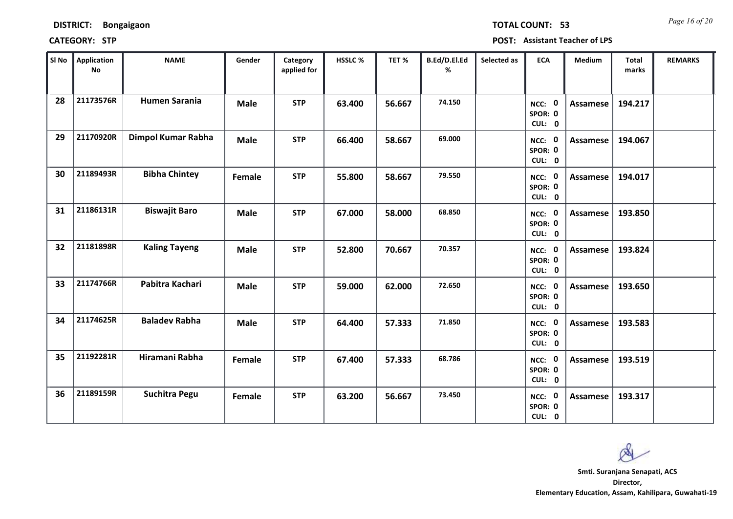| <b>DISTRICT:</b> | <b>Bongaigaon</b> |
|------------------|-------------------|
|------------------|-------------------|

*Page 16 of 20* **TOTAL COUNT: 53**

| SI No | <b>Application</b><br>No | <b>NAME</b>          | Gender      | Category<br>applied for | <b>HSSLC %</b> | TET %  | B.Ed/D.El.Ed<br>% | Selected as | <b>ECA</b>                  | <b>Medium</b>   | <b>Total</b><br>marks | <b>REMARKS</b> |
|-------|--------------------------|----------------------|-------------|-------------------------|----------------|--------|-------------------|-------------|-----------------------------|-----------------|-----------------------|----------------|
| 28    | 21173576R                | <b>Humen Sarania</b> | <b>Male</b> | <b>STP</b>              | 63.400         | 56.667 | 74.150            |             | NCC: 0<br>SPOR: 0<br>CUL: 0 | Assamese        | 194.217               |                |
| 29    | 21170920R                | Dimpol Kumar Rabha   | <b>Male</b> | <b>STP</b>              | 66.400         | 58.667 | 69.000            |             | NCC: 0<br>SPOR: 0<br>CUL: 0 | Assamese        | 194.067               |                |
| 30    | 21189493R                | <b>Bibha Chintey</b> | Female      | <b>STP</b>              | 55.800         | 58.667 | 79.550            |             | NCC: 0<br>SPOR: 0<br>CUL: 0 | <b>Assamese</b> | 194.017               |                |
| 31    | 21186131R                | <b>Biswajit Baro</b> | <b>Male</b> | <b>STP</b>              | 67.000         | 58.000 | 68.850            |             | NCC: 0<br>SPOR: 0<br>CUL: 0 | Assamese        | 193.850               |                |
| 32    | 21181898R                | <b>Kaling Tayeng</b> | <b>Male</b> | <b>STP</b>              | 52.800         | 70.667 | 70.357            |             | NCC: 0<br>SPOR: 0<br>CUL: 0 | Assamese        | 193.824               |                |
| 33    | 21174766R                | Pabitra Kachari      | <b>Male</b> | <b>STP</b>              | 59.000         | 62.000 | 72.650            |             | NCC: 0<br>SPOR: 0<br>CUL: 0 | <b>Assamese</b> | 193.650               |                |
| 34    | 21174625R                | <b>Baladev Rabha</b> | <b>Male</b> | <b>STP</b>              | 64.400         | 57.333 | 71.850            |             | NCC: 0<br>SPOR: 0<br>CUL: 0 | <b>Assamese</b> | 193.583               |                |
| 35    | 21192281R                | Hiramani Rabha       | Female      | <b>STP</b>              | 67.400         | 57.333 | 68.786            |             | NCC: 0<br>SPOR: 0<br>CUL: 0 | <b>Assamese</b> | 193.519               |                |
| 36    | 21189159R                | <b>Suchitra Pegu</b> | Female      | <b>STP</b>              | 63.200         | 56.667 | 73.450            |             | NCC: 0<br>SPOR: 0<br>CUL: 0 | Assamese        | 193.317               |                |

 $\infty$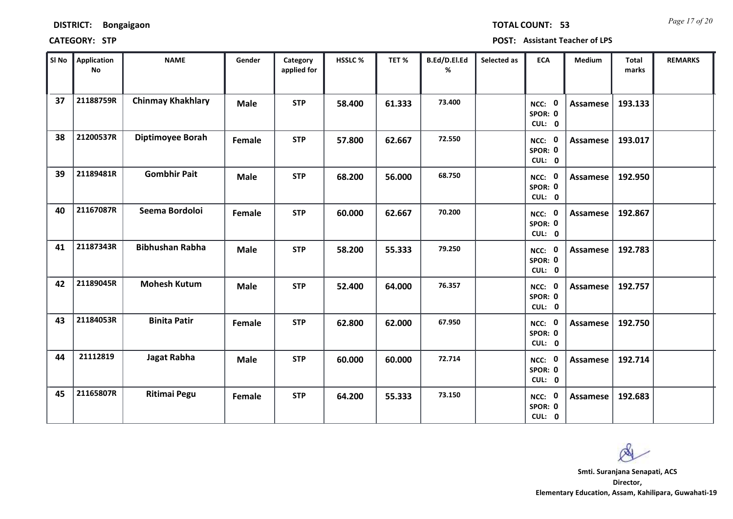| <b>DISTRICT:</b> | <b>Bongaigaon</b> |
|------------------|-------------------|
|------------------|-------------------|

*Page 17 of 20* **TOTAL COUNT: 53**

| SI No | <b>Application</b><br>$\mathsf{No}$ | <b>NAME</b>              | Gender      | Category<br>applied for | <b>HSSLC %</b> | TET%   | B.Ed/D.El.Ed<br>% | Selected as | <b>ECA</b>                  | <b>Medium</b>   | <b>Total</b><br>marks | <b>REMARKS</b> |
|-------|-------------------------------------|--------------------------|-------------|-------------------------|----------------|--------|-------------------|-------------|-----------------------------|-----------------|-----------------------|----------------|
| 37    | 21188759R                           | <b>Chinmay Khakhlary</b> | <b>Male</b> | <b>STP</b>              | 58.400         | 61.333 | 73.400            |             | NCC: 0<br>SPOR: 0<br>CUL: 0 | Assamese        | 193.133               |                |
| 38    | 21200537R                           | <b>Diptimoyee Borah</b>  | Female      | <b>STP</b>              | 57.800         | 62.667 | 72.550            |             | NCC: 0<br>SPOR: 0<br>CUL: 0 | Assamese        | 193.017               |                |
| 39    | 21189481R                           | <b>Gombhir Pait</b>      | <b>Male</b> | <b>STP</b>              | 68.200         | 56.000 | 68.750            |             | NCC: 0<br>SPOR: 0<br>CUL: 0 | Assamese        | 192.950               |                |
| 40    | 21167087R                           | Seema Bordoloi           | Female      | <b>STP</b>              | 60.000         | 62.667 | 70.200            |             | NCC: 0<br>SPOR: 0<br>CUL: 0 | Assamese        | 192.867               |                |
| 41    | 21187343R                           | <b>Bibhushan Rabha</b>   | <b>Male</b> | <b>STP</b>              | 58.200         | 55.333 | 79.250            |             | NCC: 0<br>SPOR: 0<br>CUL: 0 | <b>Assamese</b> | 192.783               |                |
| 42    | 21189045R                           | <b>Mohesh Kutum</b>      | <b>Male</b> | <b>STP</b>              | 52.400         | 64.000 | 76.357            |             | NCC: 0<br>SPOR: 0<br>CUL: 0 | Assamese        | 192.757               |                |
| 43    | 21184053R                           | <b>Binita Patir</b>      | Female      | <b>STP</b>              | 62.800         | 62.000 | 67.950            |             | NCC: 0<br>SPOR: 0<br>CUL: 0 | <b>Assamese</b> | 192.750               |                |
| 44    | 21112819                            | Jagat Rabha              | <b>Male</b> | <b>STP</b>              | 60.000         | 60.000 | 72.714            |             | NCC: 0<br>SPOR: 0<br>CUL: 0 | <b>Assamese</b> | 192.714               |                |
| 45    | 21165807R                           | <b>Ritimai Pegu</b>      | Female      | <b>STP</b>              | 64.200         | 55.333 | 73.150            |             | NCC: 0<br>SPOR: 0<br>CUL: 0 | <b>Assamese</b> | 192.683               |                |

 $\infty$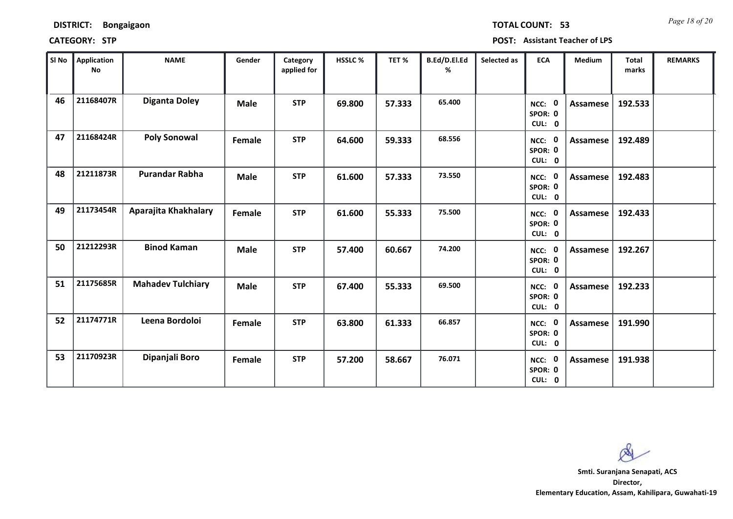### **CATEGORY: STP POST: Assistant Teacher of LPS**

| SI No | Application<br>No | <b>NAME</b>              | Gender      | Category<br>applied for | <b>HSSLC %</b> | TET %  | B.Ed/D.El.Ed<br>% | Selected as | <b>ECA</b>                  | <b>Medium</b> | <b>Total</b><br>marks | <b>REMARKS</b> |
|-------|-------------------|--------------------------|-------------|-------------------------|----------------|--------|-------------------|-------------|-----------------------------|---------------|-----------------------|----------------|
| 46    | 21168407R         | <b>Diganta Doley</b>     | <b>Male</b> | <b>STP</b>              | 69.800         | 57.333 | 65.400            |             | NCC: 0<br>SPOR: 0<br>CUL: 0 | Assamese      | 192.533               |                |
| 47    | 21168424R         | <b>Poly Sonowal</b>      | Female      | <b>STP</b>              | 64.600         | 59.333 | 68.556            |             | NCC: 0<br>SPOR: 0<br>CUL: 0 | Assamese      | 192.489               |                |
| 48    | 21211873R         | <b>Purandar Rabha</b>    | <b>Male</b> | <b>STP</b>              | 61.600         | 57.333 | 73.550            |             | NCC: 0<br>SPOR: 0<br>CUL: 0 | Assamese      | 192.483               |                |
| 49    | 21173454R         | Aparajita Khakhalary     | Female      | <b>STP</b>              | 61.600         | 55.333 | 75.500            |             | NCC: 0<br>SPOR: 0<br>CUL: 0 | Assamese      | 192.433               |                |
| 50    | 21212293R         | <b>Binod Kaman</b>       | <b>Male</b> | <b>STP</b>              | 57.400         | 60.667 | 74.200            |             | NCC: 0<br>SPOR: 0<br>CUL: 0 | Assamese      | 192.267               |                |
| 51    | 21175685R         | <b>Mahadev Tulchiary</b> | <b>Male</b> | <b>STP</b>              | 67.400         | 55.333 | 69.500            |             | NCC: 0<br>SPOR: 0<br>CUL: 0 | Assamese      | 192.233               |                |
| 52    | 21174771R         | Leena Bordoloi           | Female      | <b>STP</b>              | 63.800         | 61.333 | 66.857            |             | NCC: 0<br>SPOR: 0<br>CUL: 0 | Assamese      | 191.990               |                |
| 53    | 21170923R         | Dipanjali Boro           | Female      | <b>STP</b>              | 57.200         | 58.667 | 76.071            |             | NCC: 0<br>SPOR: 0<br>CUL: 0 | Assamese      | 191.938               |                |

 $\infty$ 

**Director, Elementary Education, Assam, Kahilipara, Guwahati-19 Smti. Suranjana Senapati, ACS**

*Page 18 of 20* **TOTAL COUNT: 53**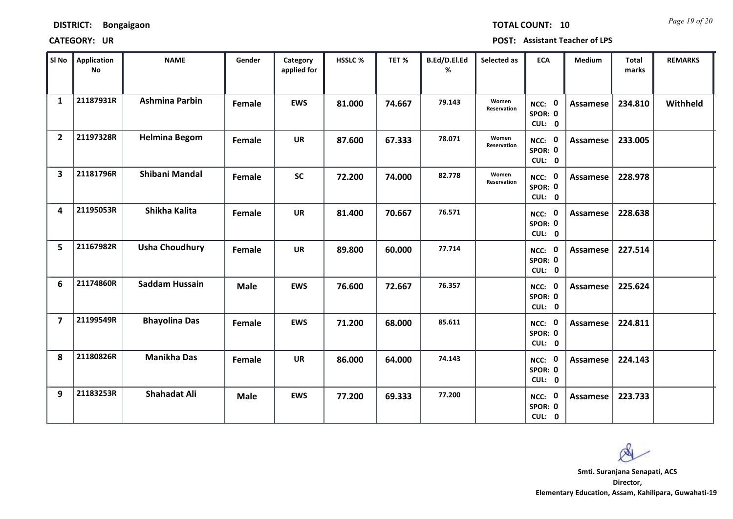*Page 19 of 20* **TOTAL COUNT: 10**

| SI No                   | Application<br><b>No</b> | <b>NAME</b>           | Gender      | Category<br>applied for | HSSLC % | TET %  | B.Ed/D.El.Ed<br>% | Selected as          | <b>ECA</b>                  | <b>Medium</b>   | <b>Total</b><br>marks | <b>REMARKS</b> |
|-------------------------|--------------------------|-----------------------|-------------|-------------------------|---------|--------|-------------------|----------------------|-----------------------------|-----------------|-----------------------|----------------|
| $\mathbf{1}$            | 21187931R                | <b>Ashmina Parbin</b> | Female      | <b>EWS</b>              | 81.000  | 74.667 | 79.143            | Women<br>Reservation | NCC: 0<br>SPOR: 0<br>CUL: 0 | <b>Assamese</b> | 234.810               | Withheld       |
| $\overline{2}$          | 21197328R                | <b>Helmina Begom</b>  | Female      | <b>UR</b>               | 87.600  | 67.333 | 78.071            | Women<br>Reservation | NCC: 0<br>SPOR: 0<br>CUL: 0 | <b>Assamese</b> | 233.005               |                |
| $\overline{\mathbf{3}}$ | 21181796R                | <b>Shibani Mandal</b> | Female      | <b>SC</b>               | 72.200  | 74.000 | 82.778            | Women<br>Reservation | NCC: 0<br>SPOR: 0<br>CUL: 0 | Assamese        | 228.978               |                |
| 4                       | 21195053R                | Shikha Kalita         | Female      | <b>UR</b>               | 81.400  | 70.667 | 76.571            |                      | NCC: 0<br>SPOR: 0<br>CUL: 0 | <b>Assamese</b> | 228.638               |                |
| 5                       | 21167982R                | <b>Usha Choudhury</b> | Female      | <b>UR</b>               | 89.800  | 60.000 | 77.714            |                      | NCC: 0<br>SPOR: 0<br>CUL: 0 | <b>Assamese</b> | 227.514               |                |
| 6                       | 21174860R                | Saddam Hussain        | <b>Male</b> | <b>EWS</b>              | 76.600  | 72.667 | 76.357            |                      | NCC: 0<br>SPOR: 0<br>CUL: 0 | <b>Assamese</b> | 225.624               |                |
| $\overline{7}$          | 21199549R                | <b>Bhayolina Das</b>  | Female      | <b>EWS</b>              | 71.200  | 68.000 | 85.611            |                      | NCC: 0<br>SPOR: 0<br>CUL: 0 | <b>Assamese</b> | 224.811               |                |
| 8                       | 21180826R                | <b>Manikha Das</b>    | Female      | <b>UR</b>               | 86.000  | 64.000 | 74.143            |                      | NCC: 0<br>SPOR: 0<br>CUL: 0 | <b>Assamese</b> | 224.143               |                |
| 9                       | 21183253R                | <b>Shahadat Ali</b>   | <b>Male</b> | <b>EWS</b>              | 77.200  | 69.333 | 77.200            |                      | NCC: 0<br>SPOR: 0<br>CUL: 0 | <b>Assamese</b> | 223.733               |                |

 $\infty$